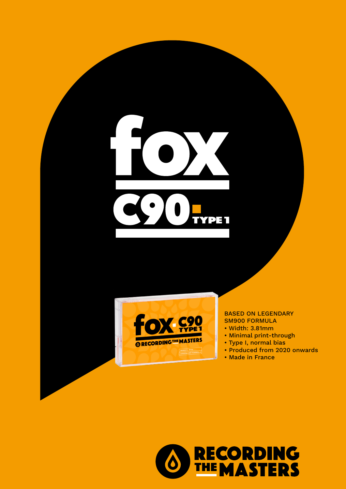



## BASED ON LEGENDARY SM900 FORMULA

- Width: 3.81mm
- Minimal print-through
- Type I, normal bias
- Produced from 2020 onwards
- Made in France